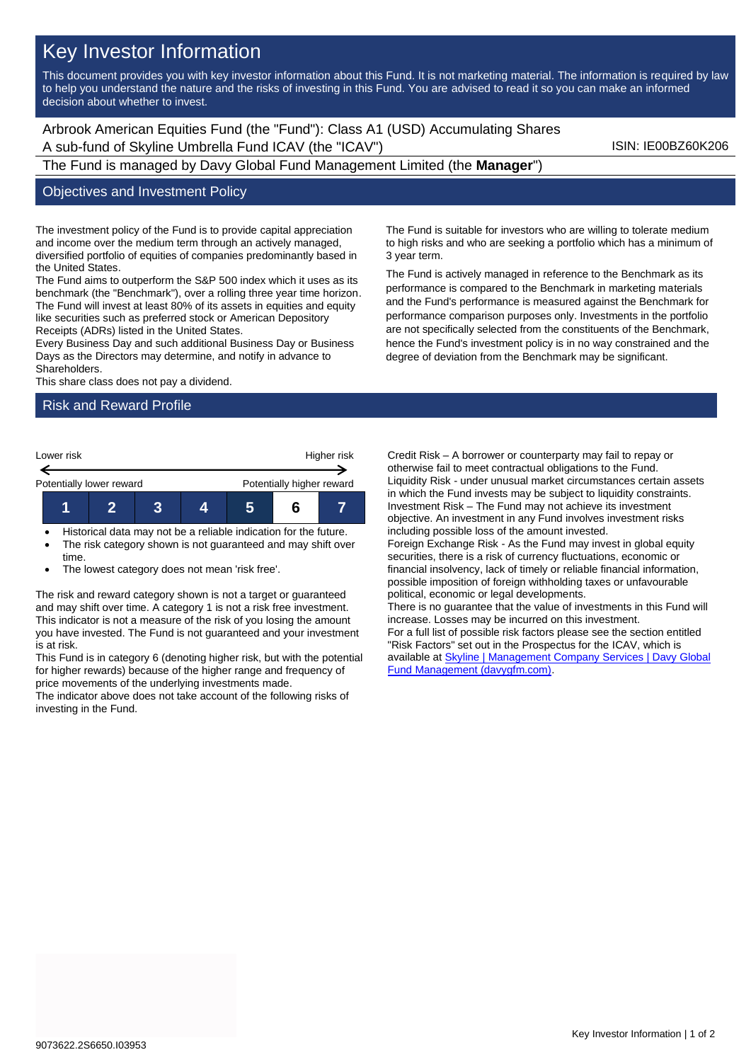# Key Investor Information

This document provides you with key investor information about this Fund. It is not marketing material. The information is required by law to help you understand the nature and the risks of investing in this Fund. You are advised to read it so you can make an informed decision about whether to invest.

Arbrook American Equities Fund (the "Fund"): Class A1 (USD) Accumulating Shares A sub-fund of Skyline Umbrella Fund ICAV (the "ICAV") SUN: IE00BZ60K206

## The Fund is managed by Davy Global Fund Management Limited (the **Manager**")

#### Objectives and Investment Policy

The investment policy of the Fund is to provide capital appreciation and income over the medium term through an actively managed, diversified portfolio of equities of companies predominantly based in the United States.

The Fund aims to outperform the S&P 500 index which it uses as its benchmark (the "Benchmark"), over a rolling three year time horizon. The Fund will invest at least 80% of its assets in equities and equity like securities such as preferred stock or American Depository Receipts (ADRs) listed in the United States.

Every Business Day and such additional Business Day or Business Days as the Directors may determine, and notify in advance to Shareholders.

This share class does not pay a dividend.

### Risk and Reward Profile



- Historical data may not be a reliable indication for the future. The risk category shown is not guaranteed and may shift over
- time. The lowest category does not mean 'risk free'.

The risk and reward category shown is not a target or guaranteed and may shift over time. A category 1 is not a risk free investment. This indicator is not a measure of the risk of you losing the amount you have invested. The Fund is not guaranteed and your investment is at risk.

This Fund is in category 6 (denoting higher risk, but with the potential for higher rewards) because of the higher range and frequency of price movements of the underlying investments made.

The indicator above does not take account of the following risks of investing in the Fund.

The Fund is suitable for investors who are willing to tolerate medium to high risks and who are seeking a portfolio which has a minimum of 3 year term.

The Fund is actively managed in reference to the Benchmark as its performance is compared to the Benchmark in marketing materials and the Fund's performance is measured against the Benchmark for performance comparison purposes only. Investments in the portfolio are not specifically selected from the constituents of the Benchmark, hence the Fund's investment policy is in no way constrained and the degree of deviation from the Benchmark may be significant.

Credit Risk – A borrower or counterparty may fail to repay or otherwise fail to meet contractual obligations to the Fund. Liquidity Risk - under unusual market circumstances certain assets in which the Fund invests may be subject to liquidity constraints. Investment Risk – The Fund may not achieve its investment objective. An investment in any Fund involves investment risks including possible loss of the amount invested. Foreign Exchange Risk - As the Fund may invest in global equity securities, there is a risk of currency fluctuations, economic or financial insolvency, lack of timely or reliable financial information, possible imposition of foreign withholding taxes or unfavourable political, economic or legal developments. There is no guarantee that the value of investments in this Fund will increase. Losses may be incurred on this investment. For a full list of possible risk factors please see the section entitled "Risk Factors" set out in the Prospectus for the ICAV, which is available a[t Skyline | Management Company Services | Davy Global](https://www.davygfm.com/funds-factsheets/management-company-services/ireland/skyline.html)  [Fund Management \(davygfm.com\).](https://www.davygfm.com/funds-factsheets/management-company-services/ireland/skyline.html)